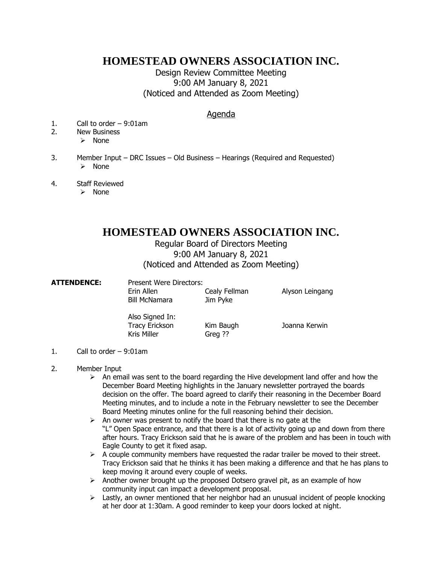## **HOMESTEAD OWNERS ASSOCIATION INC.**

Design Review Committee Meeting 9:00 AM January 8, 2021 (Noticed and Attended as Zoom Meeting)

## Agenda

- 1. Call to order 9:01am
- 2. New Business
	- ➢ None
- 3. Member Input DRC Issues Old Business Hearings (Required and Requested) ➢ None
- 4. Staff Reviewed
	- ➢ None

## **HOMESTEAD OWNERS ASSOCIATION INC.**

## Regular Board of Directors Meeting 9:00 AM January 8, 2021 (Noticed and Attended as Zoom Meeting)

**ATTENDENCE:** Present Were Directors:

Erin Allen Cealy Fellman Alyson Leingang

Bill McNamara Jim Pyke

Also Signed In: Tracy Erickson Kim Baugh Joanna Kerwin Kris Miller Greg ??

- 1. Call to order 9:01am
- 2. Member Input
	- $\triangleright$  An email was sent to the board regarding the Hive development land offer and how the December Board Meeting highlights in the January newsletter portrayed the boards decision on the offer. The board agreed to clarify their reasoning in the December Board Meeting minutes, and to include a note in the February newsletter to see the December Board Meeting minutes online for the full reasoning behind their decision.
	- $\triangleright$  An owner was present to notify the board that there is no gate at the "L" Open Space entrance, and that there is a lot of activity going up and down from there after hours. Tracy Erickson said that he is aware of the problem and has been in touch with Eagle County to get it fixed asap.
	- $\triangleright$  A couple community members have requested the radar trailer be moved to their street. Tracy Erickson said that he thinks it has been making a difference and that he has plans to keep moving it around every couple of weeks.
	- $\triangleright$  Another owner brought up the proposed Dotsero gravel pit, as an example of how community input can impact a development proposal.
	- ➢ Lastly, an owner mentioned that her neighbor had an unusual incident of people knocking at her door at 1:30am. A good reminder to keep your doors locked at night.